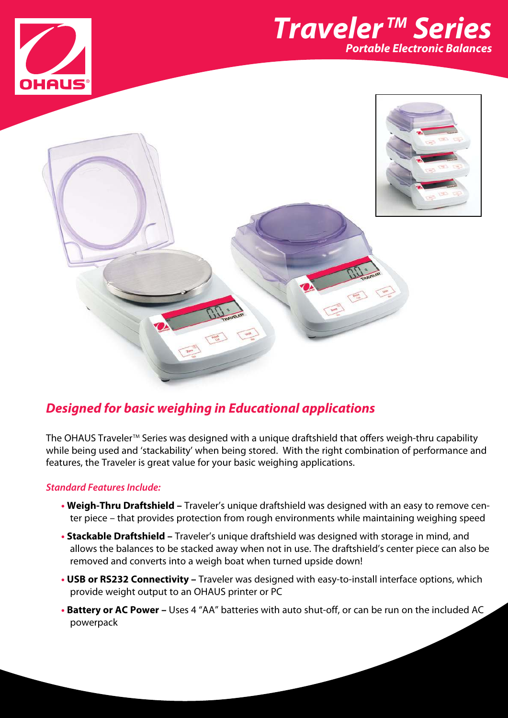





## **Designed for basic weighing in Educational applications**

The OHAUS Traveler™ Series was designed with a unique draftshield that offers weigh-thru capability while being used and 'stackability' when being stored. With the right combination of performance and features, the Traveler is great value for your basic weighing applications.

### **Standard Features Include:**

- **• Weigh-Thru Draftshield –** Traveler's unique draftshield was designed with an easy to remove center piece – that provides protection from rough environments while maintaining weighing speed
- **• Stackable Draftshield –** Traveler's unique draftshield was designed with storage in mind, and allows the balances to be stacked away when not in use. The draftshield's center piece can also be removed and converts into a weigh boat when turned upside down!
- **• USB or RS232 Connectivity –** Traveler was designed with easy-to-install interface options, which provide weight output to an OHAUS printer or PC
- **• Battery or AC Power –** Uses 4 "AA" batteries with auto shut-off, or can be run on the included AC powerpack